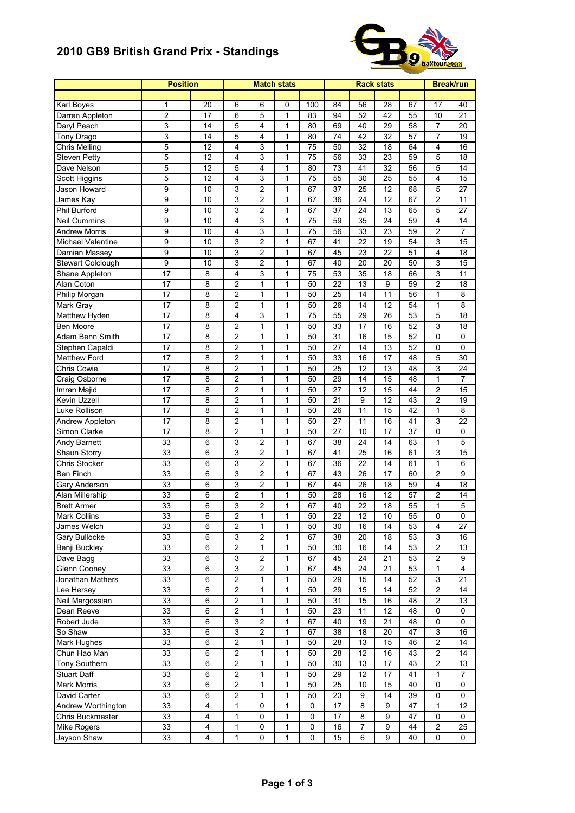## **2010 GB9 British Grand Prix - Standings**



|                            | <b>Position</b>  |                 |                         |                | <b>Match stats</b> |                 |                 |                 | <b>Rack stats</b> |                 | <b>Break/run</b>        |  |
|----------------------------|------------------|-----------------|-------------------------|----------------|--------------------|-----------------|-----------------|-----------------|-------------------|-----------------|-------------------------|--|
|                            |                  |                 |                         |                |                    |                 |                 |                 |                   |                 |                         |  |
| Karl Boyes                 | 1                | 20              | 6                       | 6              | 0                  | 100             | 84              | 56              | 28                | 67              | 17                      |  |
| Darren Appleton            | $\overline{c}$   | 17              | 6                       | 5              | $\mathbf{1}$       | 83              | 94              | 52              | 42                | 55              | 10                      |  |
| Daryl Peach                | 3                | 14              | 5                       | 4              | $\mathbf{1}$       | 80              | 69              | 40              | 29                | 58              | 7                       |  |
| <b>Tony Drago</b>          | 3                | 14              | 5                       | 4              | 1                  | 80              | 74              | 42              | 32                | 57              | 7                       |  |
| <b>Chris Melling</b>       | 5                | 12              | 4                       | 3              | 1                  | 75              | 50              | 32              | 18                | 64              | 4                       |  |
| <b>Steven Petty</b>        | $\overline{5}$   | 12              | 4                       | 3              | $\mathbf{1}$       | 75              | 56              | 33              | 23                | 59              | 5                       |  |
| Dave Nelson                | $\overline{5}$   | 12              | $\overline{5}$          | 4              | $\mathbf{1}$       | 80              | 73              | 41              | 32                | 56              | 5                       |  |
| <b>Scott Higgins</b>       | 5                | $\overline{12}$ | 4                       | 3              | 1                  | $\overline{75}$ | 55              | $\overline{30}$ | $\overline{25}$   | 55              | 4                       |  |
| Jason Howard               | 9                | 10              | 3                       | $\overline{c}$ | $\mathbf{1}$       | 67              | 37              | 25              | 12                | 68              | 5                       |  |
| James Kay                  | $\overline{9}$   | 10              | 3                       | $\overline{2}$ | 1                  | 67              | 36              | 24              | 12                | 67              | $\overline{c}$          |  |
| Phil Burford               | $\overline{9}$   | 10              | 3                       | $\overline{c}$ | $\mathbf{1}$       | 67              | 37              | 24              | 13                | 65              | 5                       |  |
| <b>Neil Cummins</b>        | $\overline{9}$   | 10              | 4                       | 3              | $\mathbf{1}$       | 75              | 59              | 35              | 24                | 59              | 4                       |  |
| <b>Andrew Morris</b>       | 9                | 10              | 4                       | 3              | 1                  | 75              | 56              | 33              | 23                | 59              | $\overline{c}$          |  |
| Michael Valentine          | $\boldsymbol{9}$ | 10              | 3                       | $\overline{c}$ | 1                  | 67              | 41              | 22              | 19                | 54              | 3                       |  |
|                            | $\overline{9}$   | 10              | 3                       | $\overline{2}$ | 1                  | 67              | 45              | 23              | $\overline{22}$   | 51              | 4                       |  |
| Damian Massey              |                  |                 |                         |                |                    |                 |                 |                 |                   |                 |                         |  |
| Stewart Colclough          | 9                | 10              | 3                       | 2              | 1                  | 67              | 40              | 20              | 20                | 50              | 3                       |  |
| Shane Appleton             | $\overline{17}$  | 8               | $\overline{4}$          | 3              | $\mathbf{1}$       | 75              | 53              | 35              | 18                | 66              | 3                       |  |
| Alan Coton                 | 17               | 8               | $\overline{c}$          | 1              | 1                  | 50              | $\overline{22}$ | $\overline{13}$ | 9                 | 59              | $\overline{\mathbf{c}}$ |  |
| Philip Morgan              | 17               | 8               | 2                       | $\mathbf{1}$   | $\mathbf{1}$       | 50              | 25              | 14              | 11                | 56              | 1                       |  |
| Mark Gray                  | 17               | 8               | 2                       | 1              | $\mathbf{1}$       | 50              | 26              | 14              | 12                | 54              | $\mathbf 1$             |  |
| Matthew Hyden              | 17               | 8               | 4                       | 3              | 1                  | 75              | 55              | 29              | 26                | 53              | 5                       |  |
| Ben Moore                  | 17               | 8               | $\overline{c}$          | 1              | 1                  | 50              | 33              | 17              | 16                | 52              | 3                       |  |
| Adam Benn Smith            | $\overline{17}$  | 8               | $\overline{2}$          | $\overline{1}$ | $\mathbf{1}$       | $\overline{50}$ | 31              | 16              | 15                | $\overline{52}$ | 0                       |  |
| Stephen Capaldi            | 17               | 8               | $\overline{c}$          | $\mathbf{1}$   | $\mathbf{1}$       | 50              | 27              | 14              | 13                | 52              | 0                       |  |
| Matthew Ford               | 17               | 8               | $\overline{c}$          | $\mathbf{1}$   | $\mathbf{1}$       | 50              | 33              | 16              | 17                | 48              | 5                       |  |
| Chris Cowie                | 17               | 8               | 2                       | $\mathbf{1}$   | 1                  | 50              | 25              | 12              | 13                | 48              | 3                       |  |
| Craig Osborne              | 17               | 8               | 2                       | 1              | 1                  | 50              | 29              | 14              | 15                | 48              | 1                       |  |
| Imran Majid                | 17               | 8               | $\overline{2}$          | $\mathbf{1}$   | $\mathbf{1}$       | 50              | 27              | 12              | 15                | 44              | $\overline{\mathbf{c}}$ |  |
| Kevin Uzzell               | 17               | 8               | $\overline{c}$          | 1              | 1                  | 50              | 21              | 9               | 12                | 43              | $\overline{\mathbf{c}}$ |  |
| Luke Rollison              | 17               | 8               | $\overline{c}$          | $\mathbf{1}$   | $\mathbf{1}$       | 50              | 26              | 11              | 15                | 42              | $\mathbf{1}$            |  |
|                            |                  |                 |                         |                |                    |                 |                 |                 |                   |                 |                         |  |
| Andrew Appleton            | 17               | 8               | $\overline{c}$          | $\mathbf{1}$   | $\mathbf{1}$       | 50              | 27              | 11              | 16                | 41              | 3                       |  |
| Simon Clarke               | 17               | 8               | 2                       | 1              | 1                  | 50              | 27              | 10              | 17                | 37              | 0                       |  |
| <b>Andy Barnett</b>        | 33               | 6               | 3                       | $\overline{c}$ | $\mathbf{1}$       | 67              | 38              | 24              | 14                | 63              | 1                       |  |
| Shaun Storry               | 33               | 6               | 3                       | $\overline{2}$ | $\mathbf{1}$       | 67              | 41              | 25              | 16                | 61              | 3                       |  |
| <b>Chris Stocker</b>       | 33               | 6               | $\overline{3}$          | $\overline{2}$ | $\mathbf{1}$       | 67              | 36              | $\overline{22}$ | 14                | 61              | $\mathbf{1}$            |  |
| <b>Ben Finch</b>           | 33               | 6               | 3                       | $\overline{c}$ | $\mathbf{1}$       | 67              | 43              | 26              | 17                | 60              | $\overline{\mathbf{c}}$ |  |
| Gary Anderson              | 33               | 6               | 3                       | 2              | $\mathbf{1}$       | 67              | 44              | 26              | 18                | 59              | 4                       |  |
| Alan Millership            | 33               | 6               | 2                       | 1              | 1                  | 50              | 28              | 16              | 12                | 57              | 2                       |  |
| <b>Brett Armer</b>         | 33               | 6               | 3                       | $\overline{2}$ | 1                  | 67              | 40              | 22              | 18                | 55              | 1                       |  |
| Mark Collins               | 33               | 6               | 2                       | 1              | 1                  | 50              | 22              | 12              | 10                | 55              | 0                       |  |
| James Welch                | 33               | 6               | $\overline{2}$          | 1              | 1                  | 50              | 30              | 16              | 14                | 53              | 4                       |  |
| Gary Bullocke              | 33               | 6               | $\overline{3}$          | $\overline{2}$ | 1                  | 67              | 38              | 20              | $\overline{18}$   | 53              | $\overline{3}$          |  |
| Benji Buckley              | 33               | 6               | 2                       | 1              | 1                  | 50              | 30              | 16              | 14                | 53              | 2                       |  |
| Dave Bagg                  | 33               | 6               | 3                       | 2              | 1                  | 67              | 45              | 24              | 21                | 53              | 2                       |  |
|                            | 33               | 6               | $\overline{3}$          | $\overline{2}$ | $\mathbf{1}$       | 67              | 45              | 24              |                   | 53              | $\mathbf{1}$            |  |
| <b>Glenn Cooney</b>        |                  |                 |                         |                |                    |                 |                 |                 | 21                |                 |                         |  |
| Jonathan Mathers           | 33               | 6               | $\overline{2}$          | 1              | 1                  | 50              | 29              | 15              | 14                | 52              | $\mathsf 3$             |  |
| Lee Hersey                 | 33               | 6               | $\overline{c}$          | $\mathbf{1}$   | $\mathbf{1}$       | 50              | 29              | 15              | 14                | 52              | 2                       |  |
| Neil Margossian            | 33               | 6               | $\overline{2}$          | 1              | $\mathbf{1}$       | 50              | 31              | 15              | 16                | 48              | 2                       |  |
| Dean Reeve                 | 33               | 6               | $\overline{c}$          | 1              | 1                  | 50              | 23              | 11              | 12                | 48              | 0                       |  |
| Robert Jude                | 33               | 6               | 3                       | $\overline{2}$ | 1                  | 67              | 40              | 19              | 21                | 48              | 0                       |  |
| So Shaw                    | 33               | 6               | $\overline{3}$          | 2              | $\mathbf{1}$       | 67              | 38              | 18              | 20                | 47              | 3                       |  |
| Mark Hughes                | 33               | 6               | $\overline{c}$          | $\mathbf{1}$   | 1                  | 50              | 28              | 13              | 15                | 46              | $\overline{c}$          |  |
| Chun Hao Man               | 33               | 6               | $\overline{2}$          | $\mathbf{1}$   | 1                  | 50              | 28              | 12              | 16                | 43              | 2                       |  |
| Tony Southern              | 33               | 6               | $\overline{2}$          | 1              | 1                  | 50              | 30              | 13              | $\overline{17}$   | 43              | $\overline{2}$          |  |
| Stuart Daff                | 33               | 6               | $\overline{\mathbf{c}}$ | 1              | 1                  | 50              | 29              | 12              | 17                | 41              | 1                       |  |
| Mark Morris                | 33               | 6               | $\overline{c}$          | 1              | 1                  | 50              | $\overline{25}$ | 10              | 15                | 40              | 0                       |  |
|                            | 33               | 6               | $\overline{c}$          | 1              | 1                  | 50              | 23              | 9               | 14                | 39              | 0                       |  |
| David Carter               |                  |                 |                         |                |                    |                 |                 |                 |                   |                 |                         |  |
| Andrew Worthington         | 33               | 4               | $\mathbf{1}$            | $\mathbf 0$    | $\mathbf{1}$       | 0               | 17              | 8               | 9                 | 47              | $\mathbf{1}$            |  |
| Chris Buckmaster           | 33               | 4               | $\mathbf{1}$            | 0              | 1                  | $\pmb{0}$       | 17              | 8               | 9                 | 47              | 0                       |  |
| Mike Rogers<br>Jayson Shaw | 33               | 4               | 1                       | 0              | 1                  | 0               | 16              | 7               | 9                 | 44              | 2                       |  |
|                            | 33               | 4               | 1                       | 0              | 1                  | 0               | 15              | 6               | 9                 | 40              | 0                       |  |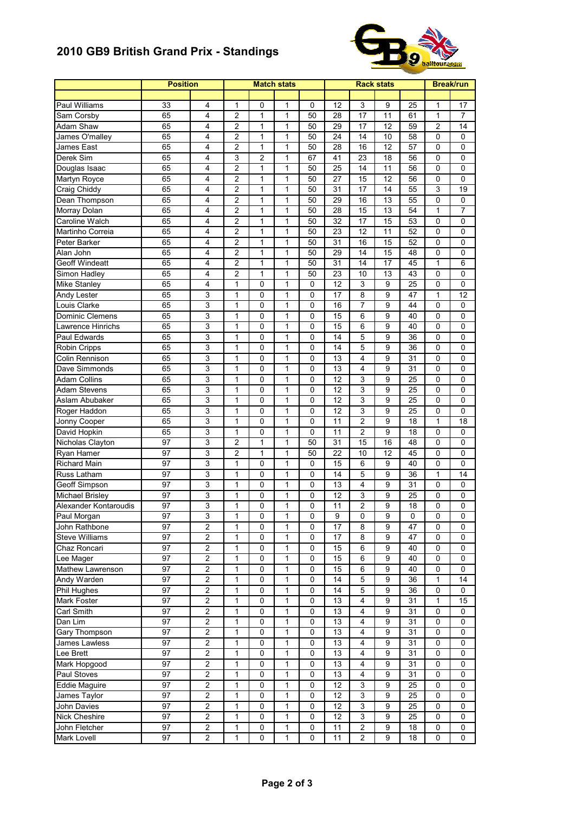## **2010 GB9 British Grand Prix - Standings**



|                        | <b>Position</b> |                         | <b>Match stats</b> |                |              |                | <b>Break/run</b> |                         |                |                 |                |  |
|------------------------|-----------------|-------------------------|--------------------|----------------|--------------|----------------|------------------|-------------------------|----------------|-----------------|----------------|--|
|                        |                 |                         |                    |                |              |                |                  |                         |                |                 |                |  |
| Paul Williams          | 33              | 4                       | 1                  | 0              | 1            | $\mathbf 0$    | 12               | 3                       | 9              | 25              | 1              |  |
| Sam Corsby             | 65              | 4                       | $\overline{c}$     | $\mathbf{1}$   | $\mathbf{1}$ | 50             | 28               | 17                      | 11             | 61              | $\mathbf{1}$   |  |
| Adam Shaw              | 65              | 4                       | $\overline{c}$     | 1              | 1            | 50             | 29               | 17                      | 12             | 59              | $\overline{c}$ |  |
| James O'malley         | 65              | 4                       | 2                  | 1              | $\mathbf{1}$ | 50             | 24               | 14                      | 10             | 58              | 0              |  |
| James East             | 65              | 4                       | $\overline{2}$     | 1              | $\mathbf{1}$ | 50             | 28               | 16                      | 12             | 57              | 0              |  |
| Derek Sim              | 65              | 4                       | $\overline{3}$     | $\overline{2}$ | $\mathbf{1}$ | 67             | 41               | 23                      | 18             | 56              | 0              |  |
| Douglas Isaac          | 65              | 4                       | $\overline{c}$     | $\mathbf{1}$   | $\mathbf{1}$ | 50             | 25               | 14                      | 11             | 56              | 0              |  |
| Martyn Royce           | 65              | 4                       | $\overline{c}$     | $\mathbf{1}$   | $\mathbf{1}$ | 50             | 27               | 15                      | 12             | 56              | 0              |  |
| Craig Chiddy           | 65              | 4                       | 2                  | 1              | 1            | 50             | 31               | 17                      | 14             | 55              | 3              |  |
| Dean Thompson          | 65              | 4                       | $\overline{2}$     | $\mathbf{1}$   | $\mathbf{1}$ | 50             | 29               | 16                      | 13             | 55              | 0              |  |
| Morray Dolan           | 65              | 4                       | $\overline{c}$     | $\mathbf{1}$   | 1            | 50             | 28               | 15                      | 13             | 54              | 1              |  |
| Caroline Walch         | 65              | 4                       | 2                  | $\mathbf{1}$   | $\mathbf{1}$ | 50             | 32               | 17                      | 15             | 53              | 0              |  |
| Martinho Correia       | 65              | 4                       | $\overline{2}$     | $\mathbf{1}$   | 1            | 50             | 23               | 12                      | 11             | 52              | 0              |  |
| Peter Barker           | 65              | 4                       | 2                  | $\mathbf{1}$   | 1            | 50             | 31               | 16                      | 15             | 52              | 0              |  |
| Alan John              | 65              | 4                       | 2                  | 1              | 1            | 50             | 29               | 14                      | 15             | 48              | 0              |  |
| <b>Geoff Windeatt</b>  | 65              | 4                       | $\overline{2}$     | $\mathbf{1}$   | $\mathbf{1}$ | 50             | 31               | 14                      | 17             | 45              | $\mathbf{1}$   |  |
| Simon Hadley           | 65              | 4                       | $\overline{2}$     | $\mathbf{1}$   | $\mathbf{1}$ | 50             | 23               | 10                      | 13             | 43              | 0              |  |
| Mike Stanley           | 65              | 4                       | 1                  | 0              | $\mathbf{1}$ | $\mathbf 0$    | 12               | 3                       | 9              | 25              | 0              |  |
| Andy Lester            | 65              | 3                       | $\mathbf{1}$       | 0              | $\mathbf{1}$ | 0              | 17               | 8                       | 9              | 47              | $\mathbf{1}$   |  |
| Louis Clarke           | 65              | 3                       | $\mathbf{1}$       | 0              | 1            | 0              | 16               | $\overline{7}$          | 9              | 44              | 0              |  |
| <b>Dominic Clemens</b> | 65              | 3                       | 1                  | 0              | $\mathbf{1}$ | $\mathbf 0$    | 15               | 6                       | 9              | 40              | 0              |  |
| Lawrence Hinrichs      | 65              | 3                       | 1                  | 0              | 1            | 0              | 15               | 6                       | 9              | 40              | 0              |  |
| Paul Edwards           | 65              | 3                       | $\mathbf{1}$       | 0              | 1            | 0              | 14               | 5                       | 9              | 36              | 0              |  |
| Robin Cripps           | 65              | 3                       | $\mathbf{1}$       | 0              | $\mathbf{1}$ | $\mathbf 0$    | 14               | 5                       | 9              | 36              | 0              |  |
| Colin Rennison         | 65              | 3                       | 1                  | 0              | 1            | 0              | 13               | $\overline{4}$          | 9              | 31              | 0              |  |
| Dave Simmonds          | 65              | 3                       | 1                  | 0              | 1            | 0              | 13               | 4                       | 9              | $\overline{31}$ | 0              |  |
| <b>Adam Collins</b>    | 65              | 3                       | 1                  | 0              | $\mathbf{1}$ | 0              | 12               | 3                       | 9              | 25              | 0              |  |
| <b>Adam Stevens</b>    | 65              | $\overline{3}$          | 1                  | 0              | 1            | 0              | 12               | $\overline{3}$          | 9              | 25              | 0              |  |
| Aslam Abubaker         | 65              | 3                       | 1                  | 0              | $\mathbf{1}$ | 0              | 12               | 3                       | 9              | 25              | 0              |  |
| Roger Haddon           | 65              | 3                       | $\mathbf{1}$       | 0              | $\mathbf{1}$ | 0              | 12               | 3                       | 9              | 25              | 0              |  |
| Jonny Cooper           | 65              | 3                       | $\mathbf{1}$       | 0              | 1            | 0              | 11               | $\overline{2}$          | 9              | 18              | $\mathbf 1$    |  |
| David Hopkin           | 65              | 3                       | 1                  | 0              | $\mathbf{1}$ | 0              | 11               | $\overline{c}$          | 9              | 18              | 0              |  |
| Nicholas Clayton       | 97              | 3                       | $\overline{2}$     | $\mathbf{1}$   | $\mathbf{1}$ | 50             | 31               | 15                      | 16             | 48              | 0              |  |
| Ryan Hamer             | 97              | $\overline{3}$          | $\overline{2}$     | $\mathbf{1}$   | $\mathbf{1}$ | 50             | 22               | 10                      | 12             | 45              | 0              |  |
| <b>Richard Main</b>    | 97              | 3                       | 1                  | 0              | $\mathbf{1}$ | $\mathbf 0$    | 15               | 6                       | 9              | 40              | 0              |  |
| Russ Latham            | 97              | 3                       | 1                  | 0              | 1            | 0              | 14               | 5                       | 9              | 36              | 1              |  |
| Geoff Simpson          | 97              | 3                       | $\mathbf{1}$       | 0              | $\mathbf{1}$ | 0              | 13               | 4                       | 9              | 31              | 0              |  |
| Michael Brisley        | 97              | 3                       | 1                  | 0              | 1            | $\mathbf 0$    | 12               | $\mathsf 3$             | 9              | 25              | 0              |  |
| Alexander Kontaroudis  | 97              | 3                       | 1                  | 0              | 1            | 0              | 11               | $\overline{c}$          | 9              | 18              | 0              |  |
| Paul Morgan            | 97              | 3                       | 1                  | 0              | 1            | 0              | 9                | 0                       | 9              | 0               | 0              |  |
| John Rathbone          | $\overline{97}$ | 2                       | $\mathbf{1}$       | 0              | $\mathbf{1}$ | $\overline{0}$ | $\overline{17}$  | 8                       | $\overline{9}$ | $\overline{47}$ | $\overline{0}$ |  |
| <b>Steve Williams</b>  | 97              | $\overline{2}$          | 1                  | 0              | 1            | 0              | 17               | 8                       | 9              | 47              | 0              |  |
| Chaz Roncari           | 97              | 2                       | 1                  | 0              | 1            | 0              | 15               | 6                       | 9              | 40              | 0              |  |
| Lee Mager              | 97              | 2                       | 1                  | $\pmb{0}$      | $\mathbf{1}$ | 0              | 15               | 6                       | 9              | 40              | 0              |  |
| Mathew Lawrenson       | 97              | $\overline{2}$          | $\mathbf{1}$       | $\pmb{0}$      | $\mathbf{1}$ | $\mathbf 0$    | 15               | 6                       | 9              | 40              | 0              |  |
| Andy Warden            | 97              | 2                       | 1                  | $\pmb{0}$      | 1            | $\mathbf 0$    | 14               | 5                       | 9              | $\overline{36}$ | $\mathbf 1$    |  |
| Phil Hughes            | 97              | $\overline{2}$          | 1                  | 0              | 1            | 0              | 14               | 5                       | 9              | 36              | 0              |  |
| Mark Foster            | 97              | 2                       | 1                  | 0              | 1            | 0              | 13               | 4                       | 9              | 31              | 1              |  |
| Carl Smith             | 97              | $\overline{\mathbf{c}}$ | 1                  | 0              | 1            | $\mathbf 0$    | 13               | $\overline{4}$          | 9              | 31              | 0              |  |
| Dan Lim                | 97              | $\overline{2}$          | 1                  | 0              | 1            | 0              | 13               | $\overline{4}$          | 9              | 31              | 0              |  |
| Gary Thompson          | 97              | 2                       | $\mathbf{1}$       | 0              | $\mathbf{1}$ | $\mathbf 0$    | 13               | 4                       | 9              | 31              | 0              |  |
| James Lawless          | 97              | $\overline{2}$          | $\mathbf{1}$       | 0              | 1            | $\pmb{0}$      | 13               | 4                       | 9              | $\overline{31}$ | $\pmb{0}$      |  |
| Lee Brett              | 97              | $\overline{2}$          | 1                  | 0              | 1            | 0              | 13               | 4                       | 9              | $\overline{31}$ | 0              |  |
| Mark Hopgood           | 97              | $\overline{\mathbf{c}}$ | 1                  | 0              | 1            | $\pmb{0}$      | 13               | 4                       | 9              | 31              | 0              |  |
| Paul Stoves            | 97              | 2                       | $\mathbf{1}$       | 0              | 1            | 0              | 13               | 4                       | 9              | 31              | 0              |  |
| <b>Eddie Maguire</b>   | 97              | $\overline{2}$          | $\mathbf{1}$       | 0              | 1            | $\mathbf 0$    | $\overline{12}$  | 3                       | 9              | $\overline{25}$ | 0              |  |
| James Taylor           | 97              | 2                       | $\mathbf{1}$       | 0              | $\mathbf{1}$ | $\mathbf 0$    | 12               | $\mathsf 3$             | 9              | 25              | 0              |  |
| John Davies            | 97              | $\overline{2}$          | $\mathbf{1}$       | 0              | $\mathbf{1}$ | $\pmb{0}$      | 12               | $\mathsf 3$             | 9              | 25              | 0              |  |
| Nick Cheshire          | 97              | $\overline{2}$          | 1                  | 0              | 1            | 0              | 12               | 3                       | 9              | 25              | 0              |  |
| John Fletcher          | 97              | $\overline{\mathbf{c}}$ | 1                  | 0              | 1            | $\pmb{0}$      | 11               | $\overline{\mathbf{c}}$ | 9              | 18              | 0              |  |
| Mark Lovell            | 97              | 2                       | 1                  | 0              | $\mathbf{1}$ | 0              | 11               | $\overline{2}$          | 9              | 18              | 0              |  |